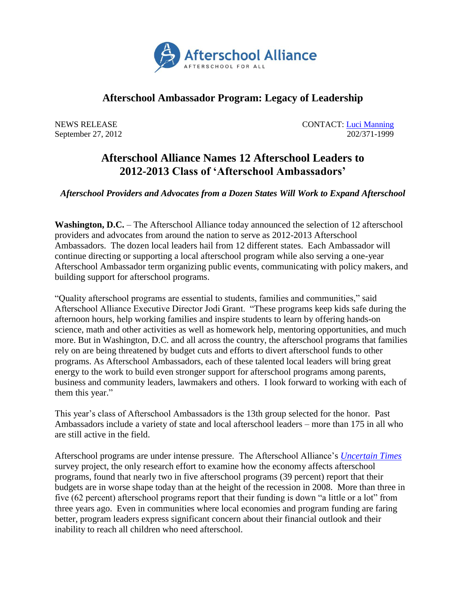

## **Afterschool Ambassador Program: Legacy of Leadership**

NEWS RELEASE CONTACT: [Luci Manning](mailto:luci@prsolutionsdc.com) September 27, 2012 202/371-1999

## **Afterschool Alliance Names 12 Afterschool Leaders to 2012-2013 Class of 'Afterschool Ambassadors'**

*Afterschool Providers and Advocates from a Dozen States Will Work to Expand Afterschool*

**Washington, D.C.** – The Afterschool Alliance today announced the selection of 12 afterschool providers and advocates from around the nation to serve as 2012-2013 Afterschool Ambassadors. The dozen local leaders hail from 12 different states. Each Ambassador will continue directing or supporting a local afterschool program while also serving a one-year Afterschool Ambassador term organizing public events, communicating with policy makers, and building support for afterschool programs.

"Quality afterschool programs are essential to students, families and communities," said Afterschool Alliance Executive Director Jodi Grant. "These programs keep kids safe during the afternoon hours, help working families and inspire students to learn by offering hands-on science, math and other activities as well as homework help, mentoring opportunities, and much more. But in Washington, D.C. and all across the country, the afterschool programs that families rely on are being threatened by budget cuts and efforts to divert afterschool funds to other programs. As Afterschool Ambassadors, each of these talented local leaders will bring great energy to the work to build even stronger support for afterschool programs among parents, business and community leaders, lawmakers and others. I look forward to working with each of them this year."

This year's class of Afterschool Ambassadors is the 13th group selected for the honor. Past Ambassadors include a variety of state and local afterschool leaders – more than 175 in all who are still active in the field.

Afterschool programs are under intense pressure. The Afterschool Alliance's *[Uncertain Times](http://www.afterschoolalliance.org/Uncertain_Times.cfm)* survey project, the only research effort to examine how the economy affects afterschool programs, found that nearly two in five afterschool programs (39 percent) report that their budgets are in worse shape today than at the height of the recession in 2008. More than three in five (62 percent) afterschool programs report that their funding is down "a little or a lot" from three years ago. Even in communities where local economies and program funding are faring better, program leaders express significant concern about their financial outlook and their inability to reach all children who need afterschool.